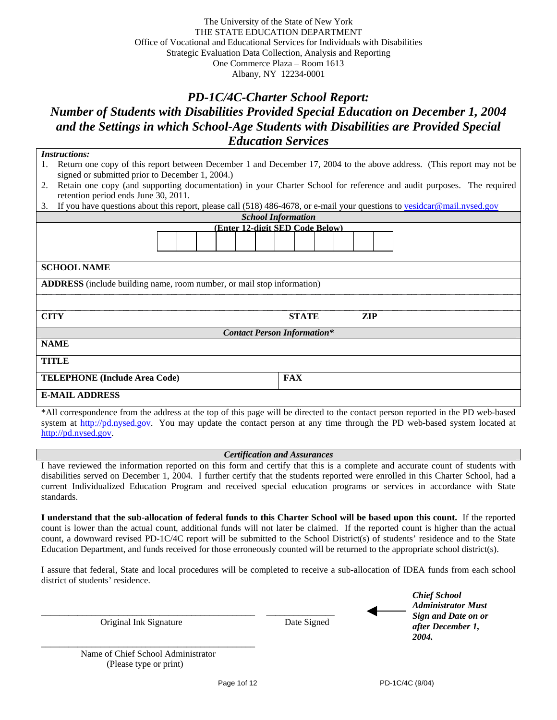# *PD-1C/4C-Charter School Report: Number of Students with Disabilities Provided Special Education on December 1, 2004 and the Settings in which School-Age Students with Disabilities are Provided Special Education Services*

| <b>Instructions:</b>                                                                                                             |  |  |  |  |  |  |  |  |
|----------------------------------------------------------------------------------------------------------------------------------|--|--|--|--|--|--|--|--|
| Return one copy of this report between December 1 and December 17, 2004 to the above address. (This report may not be<br>1.      |  |  |  |  |  |  |  |  |
| signed or submitted prior to December 1, 2004.)                                                                                  |  |  |  |  |  |  |  |  |
| Retain one copy (and supporting documentation) in your Charter School for reference and audit purposes. The required<br>2.       |  |  |  |  |  |  |  |  |
| retention period ends June 30, 2011.                                                                                             |  |  |  |  |  |  |  |  |
| If you have questions about this report, please call (518) 486-4678, or e-mail your questions to veside and mail nysed gov<br>3. |  |  |  |  |  |  |  |  |
| <b>School Information</b>                                                                                                        |  |  |  |  |  |  |  |  |
| (Enter 12-digit SED Code Below)                                                                                                  |  |  |  |  |  |  |  |  |
| <b>SCHOOL NAME</b>                                                                                                               |  |  |  |  |  |  |  |  |
| <b>ADDRESS</b> (include building name, room number, or mail stop information)                                                    |  |  |  |  |  |  |  |  |
|                                                                                                                                  |  |  |  |  |  |  |  |  |
| <b>CITY</b><br><b>STATE</b><br>ZIP                                                                                               |  |  |  |  |  |  |  |  |
| <b>Contact Person Information*</b>                                                                                               |  |  |  |  |  |  |  |  |
| <b>NAME</b>                                                                                                                      |  |  |  |  |  |  |  |  |
| TITLE                                                                                                                            |  |  |  |  |  |  |  |  |
| <b>FAX</b><br><b>TELEPHONE</b> (Include Area Code)                                                                               |  |  |  |  |  |  |  |  |
| <b>E-MAIL ADDRESS</b>                                                                                                            |  |  |  |  |  |  |  |  |

\*All correspondence from the address at the top of this page will be directed to the contact person reported in the PD web-based system at http://pd.nysed.gov. You may update the contact person at any time through the PD web-based system located at http://pd.nysed.gov.

#### *Certification and Assurances*

I have reviewed the information reported on this form and certify that this is a complete and accurate count of students with disabilities served on December 1, 2004. I further certify that the students reported were enrolled in this Charter School, had a current Individualized Education Program and received special education programs or services in accordance with State standards.

**I understand that the sub-allocation of federal funds to this Charter School will be based upon this count.** If the reported count is lower than the actual count, additional funds will not later be claimed. If the reported count is higher than the actual count, a downward revised PD-1C/4C report will be submitted to the School District(s) of students' residence and to the State Education Department, and funds received for those erroneously counted will be returned to the appropriate school district(s).

I assure that federal, State and local procedures will be completed to receive a sub-allocation of IDEA funds from each school district of students' residence.

|   | <b>Chief School</b>       |
|---|---------------------------|
| ◀ | <b>Administrator Must</b> |
|   | Sign and Date on or       |
|   | after December 1,         |
|   | 2004.                     |

\_\_\_\_\_\_\_\_\_\_\_\_\_\_\_\_\_\_\_\_\_\_\_\_\_\_\_\_\_\_\_\_\_\_\_\_\_\_\_\_\_\_\_\_\_\_\_ \_\_\_\_\_\_\_\_\_\_\_\_\_\_\_ Original Ink Signature Date Signed

\_\_\_\_\_\_\_\_\_\_\_\_\_\_\_\_\_\_\_\_\_\_\_\_\_\_\_\_\_\_\_\_\_\_\_\_\_\_\_\_\_\_\_\_\_\_\_ Name of Chief School Administrator (Please type or print)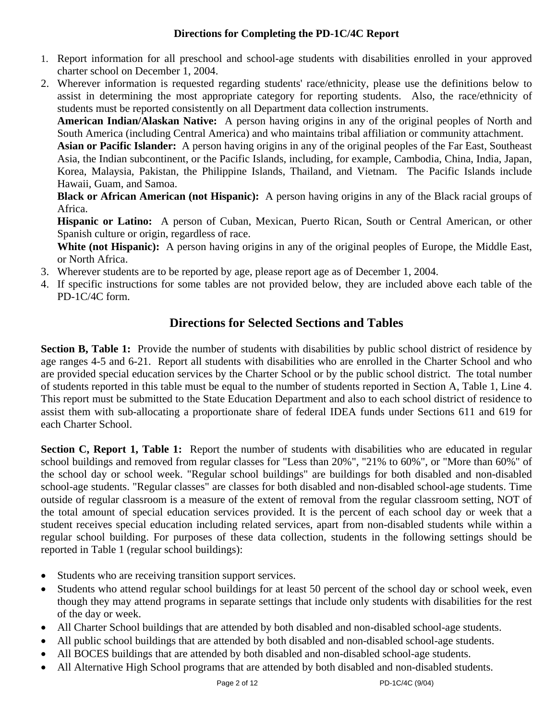### **Directions for Completing the PD-1C/4C Report**

- 1. Report information for all preschool and school-age students with disabilities enrolled in your approved charter school on December 1, 2004.
- 2. Wherever information is requested regarding students' race/ethnicity, please use the definitions below to assist in determining the most appropriate category for reporting students. Also, the race/ethnicity of students must be reported consistently on all Department data collection instruments.

**American Indian/Alaskan Native:** A person having origins in any of the original peoples of North and South America (including Central America) and who maintains tribal affiliation or community attachment.

**Asian or Pacific Islander:** A person having origins in any of the original peoples of the Far East, Southeast Asia, the Indian subcontinent, or the Pacific Islands, including, for example, Cambodia, China, India, Japan, Korea, Malaysia, Pakistan, the Philippine Islands, Thailand, and Vietnam. The Pacific Islands include Hawaii, Guam, and Samoa.

**Black or African American (not Hispanic):** A person having origins in any of the Black racial groups of Africa.

**Hispanic or Latino:** A person of Cuban, Mexican, Puerto Rican, South or Central American, or other Spanish culture or origin, regardless of race.

White (not Hispanic): A person having origins in any of the original peoples of Europe, the Middle East, or North Africa.

- 3. Wherever students are to be reported by age, please report age as of December 1, 2004.
- 4. If specific instructions for some tables are not provided below, they are included above each table of the PD-1C/4C form.

# **Directions for Selected Sections and Tables**

**Section B, Table 1:** Provide the number of students with disabilities by public school district of residence by age ranges 4-5 and 6-21. Report all students with disabilities who are enrolled in the Charter School and who are provided special education services by the Charter School or by the public school district. The total number of students reported in this table must be equal to the number of students reported in Section A, Table 1, Line 4. This report must be submitted to the State Education Department and also to each school district of residence to assist them with sub-allocating a proportionate share of federal IDEA funds under Sections 611 and 619 for each Charter School.

**Section C, Report 1, Table 1:** Report the number of students with disabilities who are educated in regular school buildings and removed from regular classes for "Less than 20%", "21% to 60%", or "More than 60%" of the school day or school week. "Regular school buildings" are buildings for both disabled and non-disabled school-age students. "Regular classes" are classes for both disabled and non-disabled school-age students. Time outside of regular classroom is a measure of the extent of removal from the regular classroom setting, NOT of the total amount of special education services provided. It is the percent of each school day or week that a student receives special education including related services, apart from non-disabled students while within a regular school building. For purposes of these data collection, students in the following settings should be reported in Table 1 (regular school buildings):

- Students who are receiving transition support services.
- Students who attend regular school buildings for at least 50 percent of the school day or school week, even though they may attend programs in separate settings that include only students with disabilities for the rest of the day or week.
- All Charter School buildings that are attended by both disabled and non-disabled school-age students.
- All public school buildings that are attended by both disabled and non-disabled school-age students.
- All BOCES buildings that are attended by both disabled and non-disabled school-age students.
- All Alternative High School programs that are attended by both disabled and non-disabled students.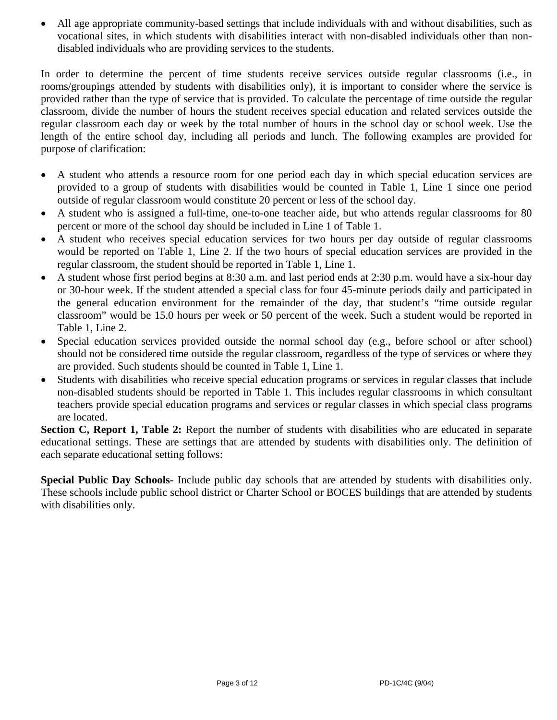• All age appropriate community-based settings that include individuals with and without disabilities, such as vocational sites, in which students with disabilities interact with non-disabled individuals other than nondisabled individuals who are providing services to the students.

In order to determine the percent of time students receive services outside regular classrooms (i.e., in rooms/groupings attended by students with disabilities only), it is important to consider where the service is provided rather than the type of service that is provided. To calculate the percentage of time outside the regular classroom, divide the number of hours the student receives special education and related services outside the regular classroom each day or week by the total number of hours in the school day or school week. Use the length of the entire school day, including all periods and lunch. The following examples are provided for purpose of clarification:

- A student who attends a resource room for one period each day in which special education services are provided to a group of students with disabilities would be counted in Table 1, Line 1 since one period outside of regular classroom would constitute 20 percent or less of the school day.
- A student who is assigned a full-time, one-to-one teacher aide, but who attends regular classrooms for 80 percent or more of the school day should be included in Line 1 of Table 1.
- A student who receives special education services for two hours per day outside of regular classrooms would be reported on Table 1, Line 2. If the two hours of special education services are provided in the regular classroom, the student should be reported in Table 1, Line 1.
- A student whose first period begins at 8:30 a.m. and last period ends at 2:30 p.m. would have a six-hour day or 30-hour week. If the student attended a special class for four 45-minute periods daily and participated in the general education environment for the remainder of the day, that student's "time outside regular classroom" would be 15.0 hours per week or 50 percent of the week. Such a student would be reported in Table 1, Line 2.
- Special education services provided outside the normal school day (e.g., before school or after school) should not be considered time outside the regular classroom, regardless of the type of services or where they are provided. Such students should be counted in Table 1, Line 1.
- Students with disabilities who receive special education programs or services in regular classes that include non-disabled students should be reported in Table 1. This includes regular classrooms in which consultant teachers provide special education programs and services or regular classes in which special class programs are located.

**Section C, Report 1, Table 2:** Report the number of students with disabilities who are educated in separate educational settings. These are settings that are attended by students with disabilities only. The definition of each separate educational setting follows:

**Special Public Day Schools-** Include public day schools that are attended by students with disabilities only. These schools include public school district or Charter School or BOCES buildings that are attended by students with disabilities only.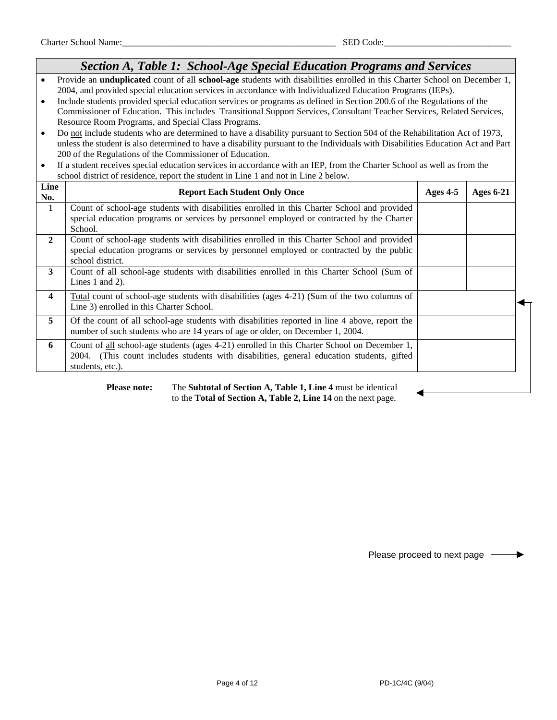## *Section A, Table 1: School-Age Special Education Programs and Services*

- Provide an **unduplicated** count of all **school-age** students with disabilities enrolled in this Charter School on December 1, 2004, and provided special education services in accordance with Individualized Education Programs (IEPs).
- Include students provided special education services or programs as defined in Section 200.6 of the Regulations of the Commissioner of Education. This includes Transitional Support Services, Consultant Teacher Services, Related Services, Resource Room Programs, and Special Class Programs.
- Do not include students who are determined to have a disability pursuant to Section 504 of the Rehabilitation Act of 1973, unless the student is also determined to have a disability pursuant to the Individuals with Disabilities Education Act and Part 200 of the Regulations of the Commissioner of Education.
- If a student receives special education services in accordance with an IEP, from the Charter School as well as from the school district of residence, report the student in Line 1 and not in Line 2 below.

| <b>Report Each Student Only Once</b>                                                                                                                                                                         | Ages $4-5$ | <b>Ages 6-21</b> |
|--------------------------------------------------------------------------------------------------------------------------------------------------------------------------------------------------------------|------------|------------------|
| Count of school-age students with disabilities enrolled in this Charter School and provided<br>special education programs or services by personnel employed or contracted by the Charter<br>School.          |            |                  |
| Count of school-age students with disabilities enrolled in this Charter School and provided<br>special education programs or services by personnel employed or contracted by the public<br>school district.  |            |                  |
| Count of all school-age students with disabilities enrolled in this Charter School (Sum of<br>Lines 1 and 2).                                                                                                |            |                  |
| <u>Total</u> count of school-age students with disabilities (ages 4-21) (Sum of the two columns of<br>Line 3) enrolled in this Charter School.                                                               |            |                  |
| Of the count of all school-age students with disabilities reported in line 4 above, report the<br>number of such students who are 14 years of age or older, on December 1, 2004.                             |            |                  |
| Count of all school-age students (ages 4-21) enrolled in this Charter School on December 1,<br>2004. (This count includes students with disabilities, general education students, gifted<br>students, etc.). |            |                  |
|                                                                                                                                                                                                              |            |                  |

 **Please note:** The **Subtotal of Section A, Table 1, Line 4** must be identical to the **Total of Section A, Table 2, Line 14** on the next page.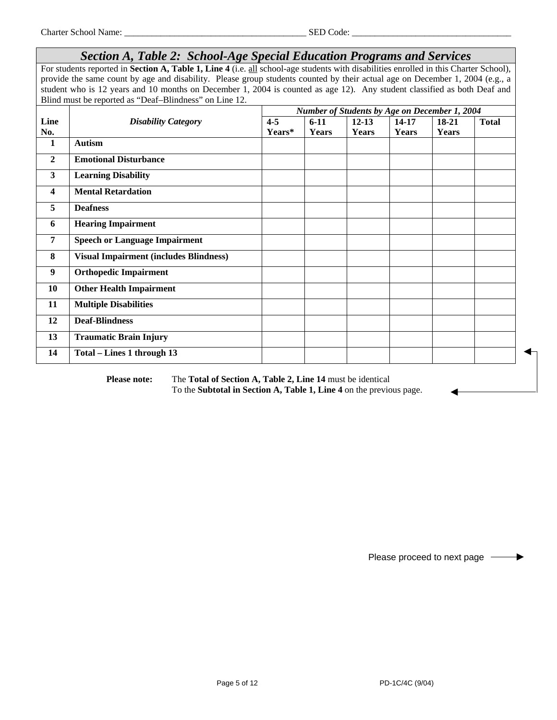|                | Section A, Table 2: School-Age Special Education Programs and Services                                                                |         |          |           |       |                                                          |              |  |  |
|----------------|---------------------------------------------------------------------------------------------------------------------------------------|---------|----------|-----------|-------|----------------------------------------------------------|--------------|--|--|
|                | For students reported in Section A, Table 1, Line 4 (i.e. all school-age students with disabilities enrolled in this Charter School), |         |          |           |       |                                                          |              |  |  |
|                | provide the same count by age and disability. Please group students counted by their actual age on December 1, 2004 (e.g., a          |         |          |           |       |                                                          |              |  |  |
|                | student who is 12 years and 10 months on December 1, 2004 is counted as age 12). Any student classified as both Deaf and              |         |          |           |       |                                                          |              |  |  |
|                | Blind must be reported as "Deaf-Blindness" on Line 12.                                                                                |         |          |           |       |                                                          |              |  |  |
| Line           | <b>Disability Category</b>                                                                                                            | $4 - 5$ | $6 - 11$ | $12 - 13$ | 14-17 | Number of Students by Age on December 1, 2004<br>$18-21$ | <b>Total</b> |  |  |
| No.            |                                                                                                                                       | Years*  | Years    | Years     | Years | Years                                                    |              |  |  |
| $\mathbf{1}$   | <b>Autism</b>                                                                                                                         |         |          |           |       |                                                          |              |  |  |
| $\overline{2}$ | <b>Emotional Disturbance</b>                                                                                                          |         |          |           |       |                                                          |              |  |  |
| $\mathbf{3}$   | <b>Learning Disability</b>                                                                                                            |         |          |           |       |                                                          |              |  |  |
| 4              | <b>Mental Retardation</b>                                                                                                             |         |          |           |       |                                                          |              |  |  |
| 5              | <b>Deafness</b>                                                                                                                       |         |          |           |       |                                                          |              |  |  |
| 6              | <b>Hearing Impairment</b>                                                                                                             |         |          |           |       |                                                          |              |  |  |
| 7              | <b>Speech or Language Impairment</b>                                                                                                  |         |          |           |       |                                                          |              |  |  |
| 8              | <b>Visual Impairment (includes Blindness)</b>                                                                                         |         |          |           |       |                                                          |              |  |  |
| 9              | <b>Orthopedic Impairment</b>                                                                                                          |         |          |           |       |                                                          |              |  |  |
| 10             | <b>Other Health Impairment</b>                                                                                                        |         |          |           |       |                                                          |              |  |  |
| 11             | <b>Multiple Disabilities</b>                                                                                                          |         |          |           |       |                                                          |              |  |  |
| 12             | <b>Deaf-Blindness</b>                                                                                                                 |         |          |           |       |                                                          |              |  |  |
| 13             | <b>Traumatic Brain Injury</b>                                                                                                         |         |          |           |       |                                                          |              |  |  |
| 14             | Total - Lines 1 through 13                                                                                                            |         |          |           |       |                                                          |              |  |  |

 **Please note:** The **Total of Section A, Table 2, Line 14** must be identical To the **Subtotal in Section A, Table 1, Line 4** on the previous page.

Please proceed to next page  $\longrightarrow$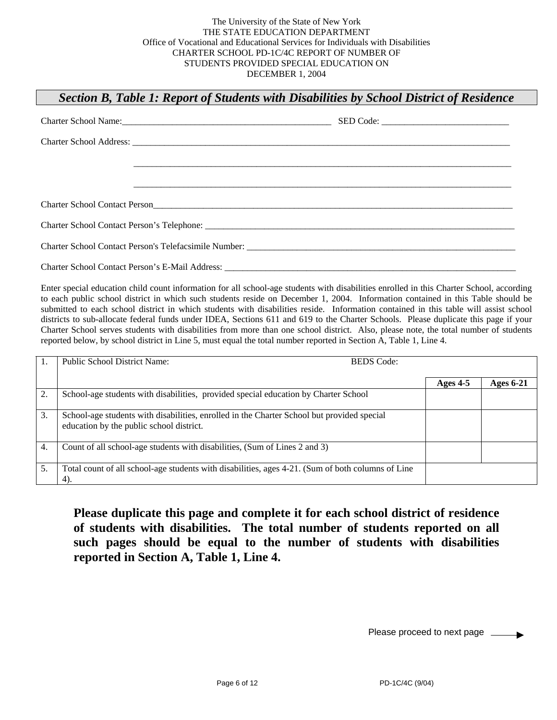#### *Section B, Table 1: Report of Students with Disabilities by School District of Residence*

| Charter School Name: 2008. [2010]                                                                                                                                                                                              | SED Code: |  |
|--------------------------------------------------------------------------------------------------------------------------------------------------------------------------------------------------------------------------------|-----------|--|
|                                                                                                                                                                                                                                |           |  |
|                                                                                                                                                                                                                                |           |  |
|                                                                                                                                                                                                                                |           |  |
| Charter School Contact Person Contact Design Contact Person Contact Person Contact Person Contact Person Contact Person Contact Person Contact Person Contact Person Contact Person Contact Person Contact Person Contact Pers |           |  |
|                                                                                                                                                                                                                                |           |  |
|                                                                                                                                                                                                                                |           |  |
|                                                                                                                                                                                                                                |           |  |

Enter special education child count information for all school-age students with disabilities enrolled in this Charter School, according to each public school district in which such students reside on December 1, 2004. Information contained in this Table should be submitted to each school district in which students with disabilities reside. Information contained in this table will assist school districts to sub-allocate federal funds under IDEA, Sections 611 and 619 to the Charter Schools. Please duplicate this page if your Charter School serves students with disabilities from more than one school district. Also, please note, the total number of students reported below, by school district in Line 5, must equal the total number reported in Section A, Table 1, Line 4.

|    | <b>Public School District Name:</b>                                                                                                    | <b>BEDS</b> Code: |                  |
|----|----------------------------------------------------------------------------------------------------------------------------------------|-------------------|------------------|
|    |                                                                                                                                        | Ages $4-5$        | <b>Ages 6-21</b> |
| 2. | School-age students with disabilities, provided special education by Charter School                                                    |                   |                  |
| 3. | School-age students with disabilities, enrolled in the Charter School but provided special<br>education by the public school district. |                   |                  |
| 4. | Count of all school-age students with disabilities, (Sum of Lines 2 and 3)                                                             |                   |                  |
| 5. | Total count of all school-age students with disabilities, ages 4-21. (Sum of both columns of Line<br>4).                               |                   |                  |

**Please duplicate this page and complete it for each school district of residence of students with disabilities. The total number of students reported on all such pages should be equal to the number of students with disabilities reported in Section A, Table 1, Line 4.**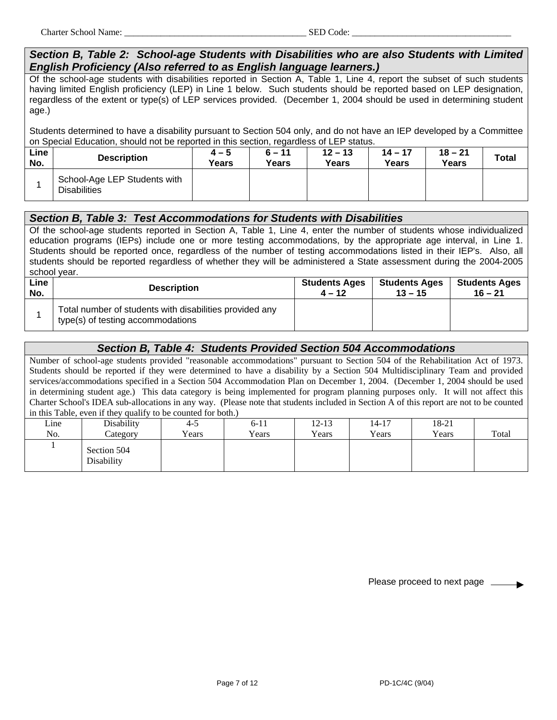#### *Section B, Table 2: School-age Students with Disabilities who are also Students with Limited English Proficiency (Also referred to as English language learners.)*

Of the school-age students with disabilities reported in Section A, Table 1, Line 4, report the subset of such students having limited English proficiency (LEP) in Line 1 below. Such students should be reported based on LEP designation, regardless of the extent or type(s) of LEP services provided. (December 1, 2004 should be used in determining student age.)

Students determined to have a disability pursuant to Section 504 only, and do not have an IEP developed by a Committee on Special Education, should not be reported in this section, regardless of LEP status.

| Line<br>No. | <b>Description</b>                                  | $4 - 5$<br>Years | -<br>$6 - 11$<br>Years | $12 - 13$<br>Years | $14 - 17$<br>Years | $18 - 21$<br>Years | <b>Total</b> |
|-------------|-----------------------------------------------------|------------------|------------------------|--------------------|--------------------|--------------------|--------------|
|             | School-Age LEP Students with<br><b>Disabilities</b> |                  |                        |                    |                    |                    |              |

#### *Section B, Table 3: Test Accommodations for Students with Disabilities*

Of the school-age students reported in Section A, Table 1, Line 4, enter the number of students whose individualized education programs (IEPs) include one or more testing accommodations, by the appropriate age interval, in Line 1. Students should be reported once, regardless of the number of testing accommodations listed in their IEP's. Also, all students should be reported regardless of whether they will be administered a State assessment during the 2004-2005 school year.

| Line | <b>Description</b>                                                                           | <b>Students Ages</b> | <b>Students Ages</b> | <b>Students Ages</b> |
|------|----------------------------------------------------------------------------------------------|----------------------|----------------------|----------------------|
| No.  |                                                                                              | $4 - 12$             | $13 - 15$            | $16 - 21$            |
|      | Total number of students with disabilities provided any<br>type(s) of testing accommodations |                      |                      |                      |

### *Section B, Table 4: Students Provided Section 504 Accommodations*

Number of school-age students provided "reasonable accommodations" pursuant to Section 504 of the Rehabilitation Act of 1973. Students should be reported if they were determined to have a disability by a Section 504 Multidisciplinary Team and provided services/accommodations specified in a Section 504 Accommodation Plan on December 1, 2004. (December 1, 2004 should be used in determining student age.) This data category is being implemented for program planning purposes only. It will not affect this Charter School's IDEA sub-allocations in any way. (Please note that students included in Section A of this report are not to be counted in this Table, even if they qualify to be counted for both.)

| Line | Disability                | $4-5$ | $6 - 11$ | $12 - 13$ | 14-17 | 18-21 | Total |
|------|---------------------------|-------|----------|-----------|-------|-------|-------|
| No.  | Category                  | Years | Years    | Years     | Years | Years |       |
|      | Section 504<br>Disability |       |          |           |       |       |       |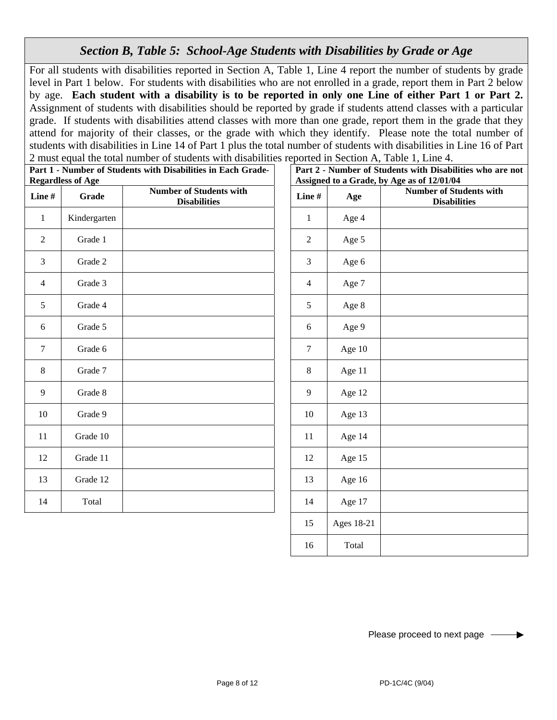# *Section B, Table 5: School-Age Students with Disabilities by Grade or Age*

For all students with disabilities reported in Section A, Table 1, Line 4 report the number of students by grade level in Part 1 below. For students with disabilities who are not enrolled in a grade, report them in Part 2 below by age. **Each student with a disability is to be reported in only one Line of either Part 1 or Part 2.** Assignment of students with disabilities should be reported by grade if students attend classes with a particular grade. If students with disabilities attend classes with more than one grade, report them in the grade that they attend for majority of their classes, or the grade with which they identify. Please note the total number of students with disabilities in Line 14 of Part 1 plus the total number of students with disabilities in Line 16 of Part 2 must equal the total number of students with disabilities reported in Section A, Table 1, Line 4.

**Part 1 - Number of Students with Disabilities in Each Grade-Regardless of Age** 

|                | rugarunss vi Agu |                                                       |                  | ASSIGNU WA UTAU |
|----------------|------------------|-------------------------------------------------------|------------------|-----------------|
| Line #         | Grade            | <b>Number of Students with</b><br><b>Disabilities</b> | Line#            | Age             |
| $\mathbf{1}$   | Kindergarten     |                                                       | $\mathbf{1}$     | Age 4           |
| $\overline{2}$ | Grade 1          |                                                       | $\boldsymbol{2}$ | Age 5           |
| 3              | Grade 2          |                                                       | 3                | Age 6           |
| 4              | Grade 3          |                                                       | 4                | Age 7           |
| 5              | Grade 4          |                                                       | 5                | Age 8           |
| 6              | Grade 5          |                                                       | 6                | Age 9           |
| $\tau$         | Grade 6          |                                                       | $\tau$           | Age 10          |
| 8              | Grade 7          |                                                       | $\,8\,$          | Age 11          |
| 9              | Grade 8          |                                                       | 9                | Age 12          |
| 10             | Grade 9          |                                                       | 10               | Age 13          |
| 11             | Grade 10         |                                                       | 11               | Age 14          |
| 12             | Grade 11         |                                                       | 12               | Age 15          |
| 13             | Grade 12         |                                                       | 13               | Age 16          |
| 14             | Total            |                                                       | 14               | Age 17          |
|                |                  |                                                       |                  |                 |

| abilities in Each Grade-                  | Part 2 - Number of Students with Disabilities who are not<br>Assigned to a Grade, by Age as of 12/01/04 |            |                                                       |  |  |  |  |
|-------------------------------------------|---------------------------------------------------------------------------------------------------------|------------|-------------------------------------------------------|--|--|--|--|
| r of Students with<br><b>Disabilities</b> | Line#                                                                                                   | Age        | <b>Number of Students with</b><br><b>Disabilities</b> |  |  |  |  |
|                                           | $\mathbf{1}$                                                                                            | Age 4      |                                                       |  |  |  |  |
|                                           | $\mathbf{2}$                                                                                            | Age 5      |                                                       |  |  |  |  |
|                                           | 3                                                                                                       | Age 6      |                                                       |  |  |  |  |
|                                           | $\overline{4}$                                                                                          | Age 7      |                                                       |  |  |  |  |
|                                           | 5                                                                                                       | Age 8      |                                                       |  |  |  |  |
|                                           | 6                                                                                                       | Age 9      |                                                       |  |  |  |  |
|                                           | 7                                                                                                       | Age 10     |                                                       |  |  |  |  |
|                                           | 8                                                                                                       | Age 11     |                                                       |  |  |  |  |
|                                           | 9                                                                                                       | Age 12     |                                                       |  |  |  |  |
|                                           | 10                                                                                                      | Age 13     |                                                       |  |  |  |  |
|                                           | 11                                                                                                      | Age 14     |                                                       |  |  |  |  |
|                                           | 12                                                                                                      | Age 15     |                                                       |  |  |  |  |
|                                           | 13                                                                                                      | Age 16     |                                                       |  |  |  |  |
|                                           | 14                                                                                                      | Age 17     |                                                       |  |  |  |  |
|                                           | 15                                                                                                      | Ages 18-21 |                                                       |  |  |  |  |
|                                           | 16                                                                                                      | Total      |                                                       |  |  |  |  |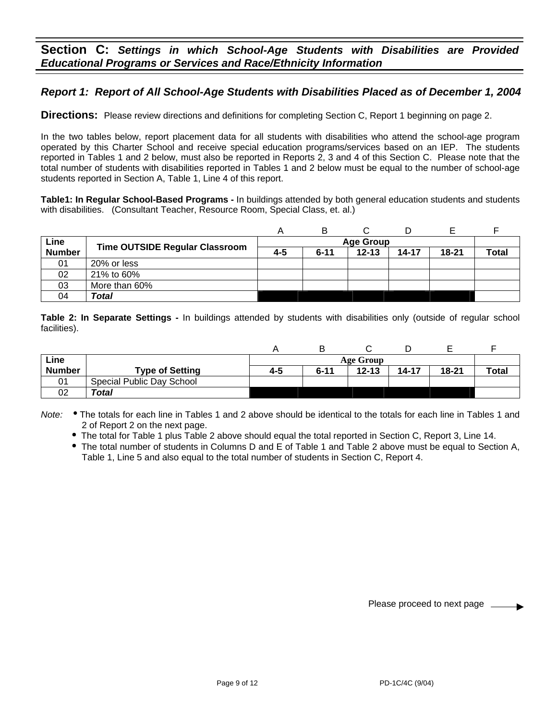## *Report 1: Report of All School-Age Students with Disabilities Placed as of December 1, 2004*

**Directions:** Please review directions and definitions for completing Section C, Report 1 beginning on page 2.

In the two tables below, report placement data for all students with disabilities who attend the school-age program operated by this Charter School and receive special education programs/services based on an IEP. The students reported in Tables 1 and 2 below, must also be reported in Reports 2, 3 and 4 of this Section C. Please note that the total number of students with disabilities reported in Tables 1 and 2 below must be equal to the number of school-age students reported in Section A, Table 1, Line 4 of this report.

**Table1: In Regular School-Based Programs -** In buildings attended by both general education students and students with disabilities.(Consultant Teacher, Resource Room, Special Class, et. al.)

|               |                                       |                  | В        |           |       |           |              |
|---------------|---------------------------------------|------------------|----------|-----------|-------|-----------|--------------|
| Line          | <b>Time OUTSIDE Regular Classroom</b> | <b>Age Group</b> |          |           |       |           |              |
| <b>Number</b> |                                       | 4-5              | $6 - 11$ | $12 - 13$ | 14-17 | $18 - 21$ | <b>Total</b> |
| 01            | 20% or less                           |                  |          |           |       |           |              |
| 02            | 21% to 60%                            |                  |          |           |       |           |              |
| 03            | More than 60%                         |                  |          |           |       |           |              |
| 04            | Total                                 |                  |          |           |       |           |              |

**Table 2: In Separate Settings -** In buildings attended by students with disabilities only (outside of regular school facilities).

| Line          |                           |     | <b>Age Group</b> |           |           |       |              |
|---------------|---------------------------|-----|------------------|-----------|-----------|-------|--------------|
| <b>Number</b> | <b>Type of Setting</b>    | 4-5 | $6 - 11$         | $12 - 13$ | $14 - 17$ | 18-21 | <b>Total</b> |
| 01            | Special Public Day School |     |                  |           |           |       |              |
| 02            | Total                     |     |                  |           |           |       |              |

Note: . The totals for each line in Tables 1 and 2 above should be identical to the totals for each line in Tables 1 and 2 of Report 2 on the next page.

- The total for Table 1 plus Table 2 above should equal the total reported in Section C, Report 3, Line 14.
- The total number of students in Columns D and E of Table 1 and Table 2 above must be equal to Section A, Table 1, Line 5 and also equal to the total number of students in Section C, Report 4.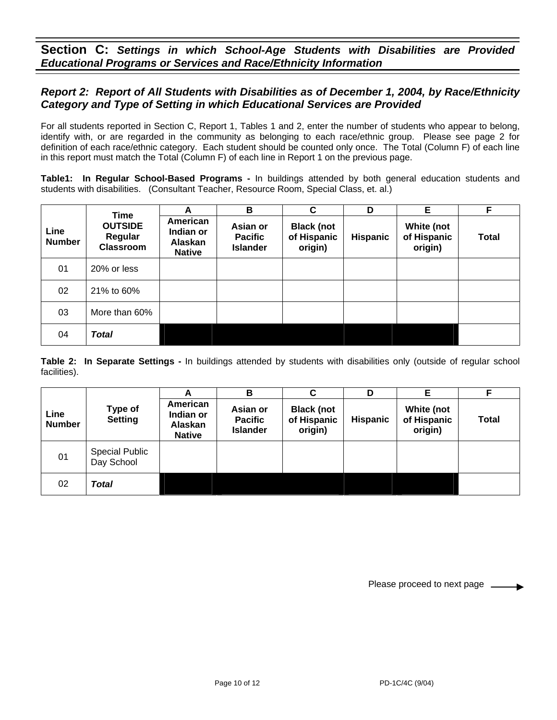**Section C:** *Settings in which School-Age Students with Disabilities are Provided Educational Programs or Services and Race/Ethnicity Information*

### *Report 2: Report of All Students with Disabilities as of December 1, 2004, by Race/Ethnicity Category and Type of Setting in which Educational Services are Provided*

For all students reported in Section C, Report 1, Tables 1 and 2, enter the number of students who appear to belong, identify with, or are regarded in the community as belonging to each race/ethnic group. Please see page 2 for definition of each race/ethnic category. Each student should be counted only once. The Total (Column F) of each line in this report must match the Total (Column F) of each line in Report 1 on the previous page.

**Table1: In Regular School-Based Programs -** In buildings attended by both general education students and students with disabilities. (Consultant Teacher, Resource Room, Special Class, et. al.)

|                       | <b>Time</b><br><b>OUTSIDE</b><br>Regular<br><b>Classroom</b> | A                                                 | В                                             | $\mathbf c$                                 | D               | E                                    | F.           |
|-----------------------|--------------------------------------------------------------|---------------------------------------------------|-----------------------------------------------|---------------------------------------------|-----------------|--------------------------------------|--------------|
| Line<br><b>Number</b> |                                                              | American<br>Indian or<br>Alaskan<br><b>Native</b> | Asian or<br><b>Pacific</b><br><b>Islander</b> | <b>Black (not</b><br>of Hispanic<br>origin) | <b>Hispanic</b> | White (not<br>of Hispanic<br>origin) | <b>Total</b> |
| 01                    | 20% or less                                                  |                                                   |                                               |                                             |                 |                                      |              |
| 02                    | 21% to 60%                                                   |                                                   |                                               |                                             |                 |                                      |              |
| 03                    | More than 60%                                                |                                                   |                                               |                                             |                 |                                      |              |
| 04                    | <b>Total</b>                                                 |                                                   |                                               |                                             |                 |                                      |              |

**Table 2: In Separate Settings -** In buildings attended by students with disabilities only (outside of regular school facilities).

|                       |                                     | A                                                 | в                                             | C                                           | D               | Е                                    | F     |
|-----------------------|-------------------------------------|---------------------------------------------------|-----------------------------------------------|---------------------------------------------|-----------------|--------------------------------------|-------|
| Line<br><b>Number</b> | Type of<br><b>Setting</b>           | American<br>Indian or<br>Alaskan<br><b>Native</b> | Asian or<br><b>Pacific</b><br><b>Islander</b> | <b>Black (not</b><br>of Hispanic<br>origin) | <b>Hispanic</b> | White (not<br>of Hispanic<br>origin) | Total |
| 01                    | <b>Special Public</b><br>Day School |                                                   |                                               |                                             |                 |                                      |       |
| 02                    | Total                               |                                                   |                                               |                                             |                 |                                      |       |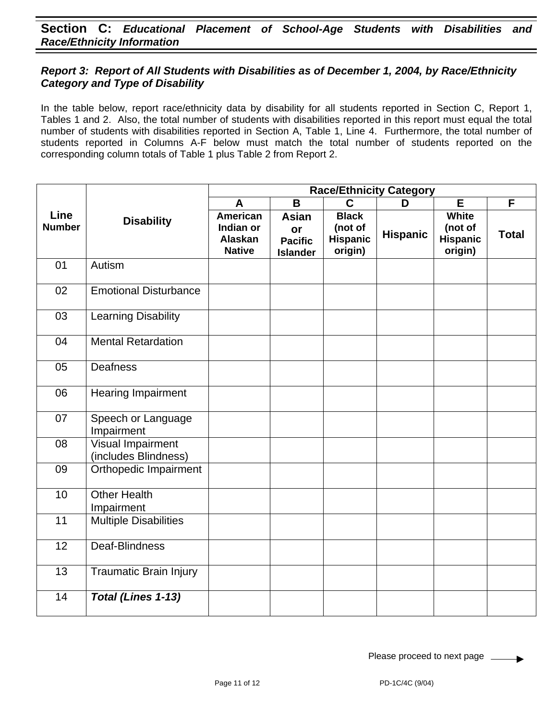### *Report 3: Report of All Students with Disabilities as of December 1, 2004, by Race/Ethnicity Category and Type of Disability*

In the table below, report race/ethnicity data by disability for all students reported in Section C, Report 1, Tables 1 and 2. Also, the total number of students with disabilities reported in this report must equal the total number of students with disabilities reported in Section A, Table 1, Line 4. Furthermore, the total number of students reported in Columns A-F below must match the total number of students reported on the corresponding column totals of Table 1 plus Table 2 from Report 2.

|                       | <b>Disability</b>                                | <b>Race/Ethnicity Category</b>                           |                                                         |                                                       |                 |                                                       |                |  |  |  |
|-----------------------|--------------------------------------------------|----------------------------------------------------------|---------------------------------------------------------|-------------------------------------------------------|-----------------|-------------------------------------------------------|----------------|--|--|--|
| Line<br><b>Number</b> |                                                  | A                                                        | $\mathbf B$                                             | $\mathbf C$                                           | D               | E                                                     | $\overline{F}$ |  |  |  |
|                       |                                                  | <b>American</b><br>Indian or<br>Alaskan<br><b>Native</b> | <b>Asian</b><br>or<br><b>Pacific</b><br><b>Islander</b> | <b>Black</b><br>(not of<br><b>Hispanic</b><br>origin) | <b>Hispanic</b> | <b>White</b><br>(not of<br><b>Hispanic</b><br>origin) | <b>Total</b>   |  |  |  |
| 01                    | Autism                                           |                                                          |                                                         |                                                       |                 |                                                       |                |  |  |  |
| 02                    | <b>Emotional Disturbance</b>                     |                                                          |                                                         |                                                       |                 |                                                       |                |  |  |  |
| 03                    | <b>Learning Disability</b>                       |                                                          |                                                         |                                                       |                 |                                                       |                |  |  |  |
| 04                    | <b>Mental Retardation</b>                        |                                                          |                                                         |                                                       |                 |                                                       |                |  |  |  |
| 05                    | <b>Deafness</b>                                  |                                                          |                                                         |                                                       |                 |                                                       |                |  |  |  |
| 06                    | <b>Hearing Impairment</b>                        |                                                          |                                                         |                                                       |                 |                                                       |                |  |  |  |
| 07                    | Speech or Language<br>Impairment                 |                                                          |                                                         |                                                       |                 |                                                       |                |  |  |  |
| 08                    | <b>Visual Impairment</b><br>(includes Blindness) |                                                          |                                                         |                                                       |                 |                                                       |                |  |  |  |
| 09                    | Orthopedic Impairment                            |                                                          |                                                         |                                                       |                 |                                                       |                |  |  |  |
| 10                    | <b>Other Health</b><br>Impairment                |                                                          |                                                         |                                                       |                 |                                                       |                |  |  |  |
| 11                    | <b>Multiple Disabilities</b>                     |                                                          |                                                         |                                                       |                 |                                                       |                |  |  |  |
| 12                    | Deaf-Blindness                                   |                                                          |                                                         |                                                       |                 |                                                       |                |  |  |  |
| 13                    | <b>Traumatic Brain Injury</b>                    |                                                          |                                                         |                                                       |                 |                                                       |                |  |  |  |
| 14                    | Total (Lines 1-13)                               |                                                          |                                                         |                                                       |                 |                                                       |                |  |  |  |